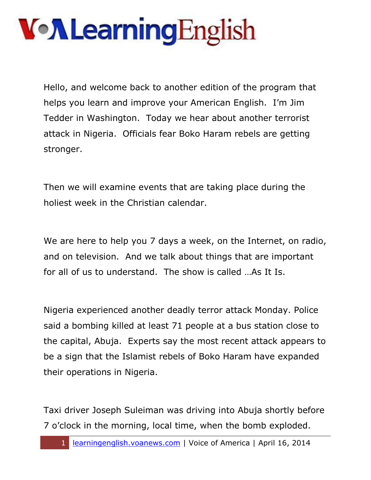Hello, and welcome back to another edition of the program that helps you learn and improve your American English. I'm Jim Tedder in Washington. Today we hear about another terrorist attack in Nigeria. Officials fear Boko Haram rebels are getting stronger.

Then we will examine events that are taking place during the holiest week in the Christian calendar.

We are here to help you 7 days a week, on the Internet, on radio, and on television. And we talk about things that are important for all of us to understand. The show is called …As It Is.

Nigeria experienced another deadly terror attack Monday. Police said a bombing killed at least 71 people at a bus station close to the capital, Abuja. Experts say the most recent attack appears to be a sign that the Islamist rebels of Boko Haram have expanded their operations in Nigeria.

Taxi driver Joseph Suleiman was driving into Abuja shortly before 7 o'clock in the morning, local time, when the bomb exploded.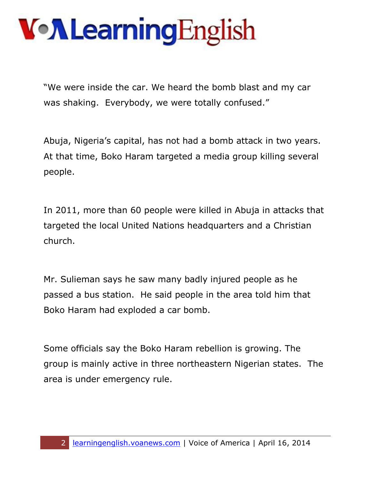"We were inside the car. We heard the bomb blast and my car was shaking. Everybody, we were totally confused."

Abuja, Nigeria's capital, has not had a bomb attack in two years. At that time, Boko Haram targeted a media group killing several people.

In 2011, more than 60 people were killed in Abuja in attacks that targeted the local United Nations headquarters and a Christian church.

Mr. Sulieman says he saw many badly injured people as he passed a bus station. He said people in the area told him that Boko Haram had exploded a car bomb.

Some officials say the Boko Haram rebellion is growing. The group is mainly active in three northeastern Nigerian states. The area is under emergency rule.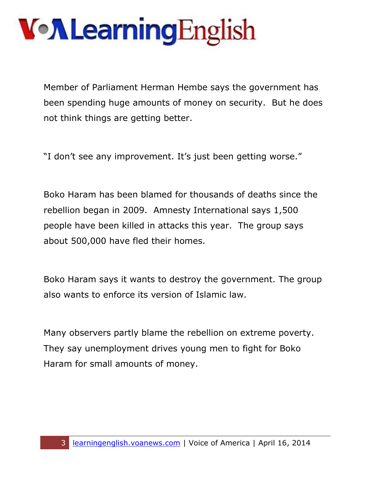Member of Parliament Herman Hembe says the government has been spending huge amounts of money on security. But he does not think things are getting better.

"I don't see any improvement. It's just been getting worse."

Boko Haram has been blamed for thousands of deaths since the rebellion began in 2009. Amnesty International says 1,500 people have been killed in attacks this year. The group says about 500,000 have fled their homes.

Boko Haram says it wants to destroy the government. The group also wants to enforce its version of Islamic law.

Many observers partly blame the rebellion on extreme poverty. They say unemployment drives young men to fight for Boko Haram for small amounts of money.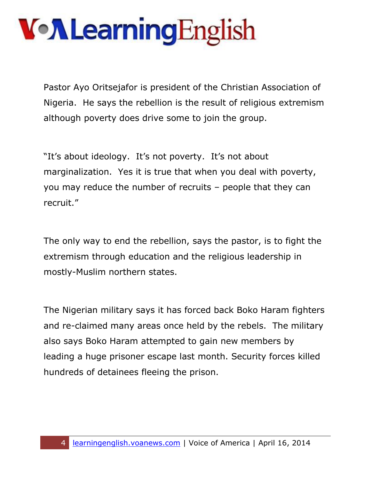Pastor Ayo Oritsejafor is president of the Christian Association of Nigeria. He says the rebellion is the result of religious extremism although poverty does drive some to join the group.

"It's about ideology. It's not poverty. It's not about marginalization. Yes it is true that when you deal with poverty, you may reduce the number of recruits – people that they can recruit."

The only way to end the rebellion, says the pastor, is to fight the extremism through education and the religious leadership in mostly-Muslim northern states.

The Nigerian military says it has forced back Boko Haram fighters and re-claimed many areas once held by the rebels. The military also says Boko Haram attempted to gain new members by leading a huge prisoner escape last month. Security forces killed hundreds of detainees fleeing the prison.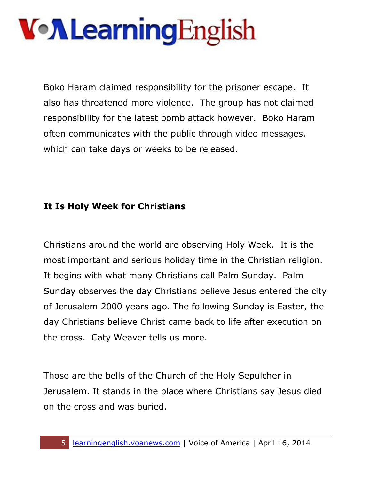Boko Haram claimed responsibility for the prisoner escape. It also has threatened more violence. The group has not claimed responsibility for the latest bomb attack however. Boko Haram often communicates with the public through video messages, which can take days or weeks to be released.

#### **It Is Holy Week for Christians**

Christians around the world are observing Holy Week. It is the most important and serious holiday time in the Christian religion. It begins with what many Christians call Palm Sunday. Palm Sunday observes the day Christians believe Jesus entered the city of Jerusalem 2000 years ago. The following Sunday is Easter, the day Christians believe Christ came back to life after execution on the cross. Caty Weaver tells us more.

Those are the bells of the Church of the Holy Sepulcher in Jerusalem. It stands in the place where Christians say Jesus died on the cross and was buried.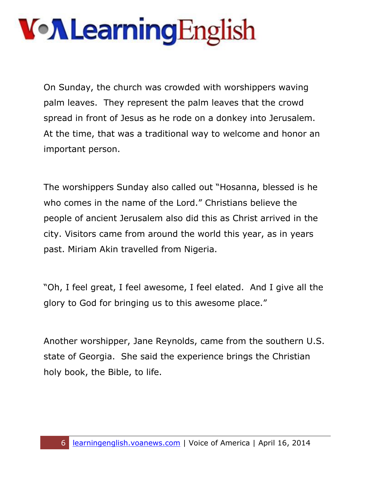On Sunday, the church was crowded with worshippers waving palm leaves. They represent the palm leaves that the crowd spread in front of Jesus as he rode on a donkey into Jerusalem. At the time, that was a traditional way to welcome and honor an important person.

The worshippers Sunday also called out "Hosanna, blessed is he who comes in the name of the Lord." Christians believe the people of ancient Jerusalem also did this as Christ arrived in the city. Visitors came from around the world this year, as in years past. Miriam Akin travelled from Nigeria.

"Oh, I feel great, I feel awesome, I feel elated. And I give all the glory to God for bringing us to this awesome place."

Another worshipper, Jane Reynolds, came from the southern U.S. state of Georgia. She said the experience brings the Christian holy book, the Bible, to life.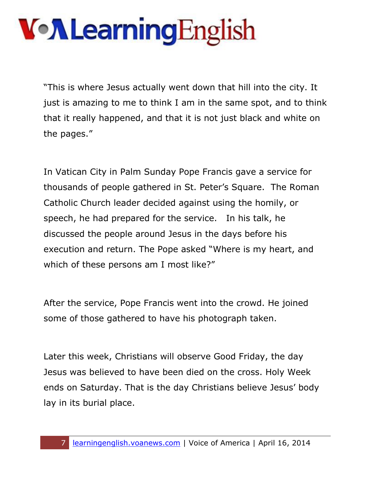"This is where Jesus actually went down that hill into the city. It just is amazing to me to think I am in the same spot, and to think that it really happened, and that it is not just black and white on the pages."

In Vatican City in Palm Sunday Pope Francis gave a service for thousands of people gathered in St. Peter's Square. The Roman Catholic Church leader decided against using the homily, or speech, he had prepared for the service. In his talk, he discussed the people around Jesus in the days before his execution and return. The Pope asked "Where is my heart, and which of these persons am I most like?"

After the service, Pope Francis went into the crowd. He joined some of those gathered to have his photograph taken.

Later this week, Christians will observe Good Friday, the day Jesus was believed to have been died on the cross. Holy Week ends on Saturday. That is the day Christians believe Jesus' body lay in its burial place.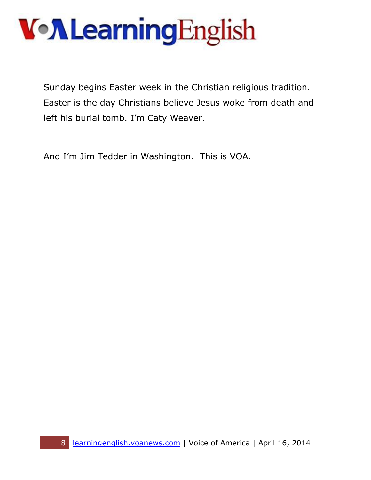Sunday begins Easter week in the Christian religious tradition. Easter is the day Christians believe Jesus woke from death and left his burial tomb. I'm Caty Weaver.

And I'm Jim Tedder in Washington. This is VOA.